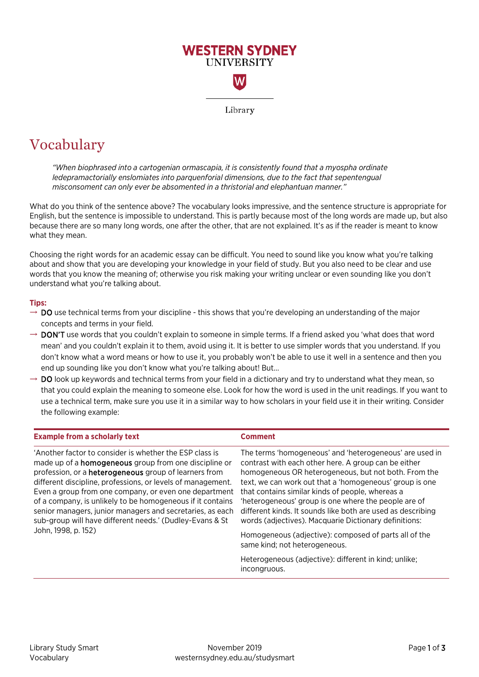

## Vocabulary

*"When biophrased into a cartogenian ormascapia, it is consistently found that a myospha ordinate ledepramactorially enslomiates into parquenforial dimensions, due to the fact that sepentengual misconsoment can only ever be absomented in a thristorial and elephantuan manner."*

What do you think of the sentence above? The vocabulary looks impressive, and the sentence structure is appropriate for English, but the sentence is impossible to understand. This is partly because most of the long words are made up, but also because there are so many long words, one after the other, that are not explained. It's as if the reader is meant to know what they mean.

Choosing the right words for an academic essay can be difficult. You need to sound like you know what you're talking about and show that you are developing your knowledge in your field of study. But you also need to be clear and use words that you know the meaning of; otherwise you risk making your writing unclear or even sounding like you don't understand what you're talking about.

## **Tips:**

- $\rightarrow$  DO use technical terms from your discipline this shows that you're developing an understanding of the major concepts and terms in your field.
- $\rightarrow$  DON'T use words that you couldn't explain to someone in simple terms. If a friend asked you 'what does that word mean' and you couldn't explain it to them, avoid using it. It is better to use simpler words that you understand. If you don't know what a word means or how to use it, you probably won't be able to use it well in a sentence and then you end up sounding like you don't know what you're talking about! But...
- $\rightarrow$  DO look up keywords and technical terms from your field in a dictionary and try to understand what they mean, so that you could explain the meaning to someone else. Look for how the word is used in the unit readings. If you want to use a technical term, make sure you use it in a similar way to how scholars in your field use it in their writing. Consider the following example:

| <b>Example from a scholarly text</b>                                                                                                                                                                                                                                                                                                                                                                                                                                                                   | Comment                                                                                                                                                                                                                                                                                                                                                                                                                                                                |
|--------------------------------------------------------------------------------------------------------------------------------------------------------------------------------------------------------------------------------------------------------------------------------------------------------------------------------------------------------------------------------------------------------------------------------------------------------------------------------------------------------|------------------------------------------------------------------------------------------------------------------------------------------------------------------------------------------------------------------------------------------------------------------------------------------------------------------------------------------------------------------------------------------------------------------------------------------------------------------------|
| 'Another factor to consider is whether the FSP class is<br>made up of a <b>homogeneous</b> group from one discipline or<br>profession, or a <b>heterogeneous</b> group of learners from<br>different discipline, professions, or levels of management.<br>Even a group from one company, or even one department<br>of a company, is unlikely to be homogeneous if it contains<br>senior managers, junior managers and secretaries, as each<br>sub-group will have different needs.' (Dudley-Evans & St | The terms 'homogeneous' and 'heterogeneous' are used in<br>contrast with each other here. A group can be either<br>homogeneous OR heterogeneous, but not both. From the<br>text, we can work out that a 'homogeneous' group is one<br>that contains similar kinds of people, whereas a<br>'heterogeneous' group is one where the people are of<br>different kinds. It sounds like both are used as describing<br>words (adjectives). Macquarie Dictionary definitions: |
| John, 1998, p. 152)                                                                                                                                                                                                                                                                                                                                                                                                                                                                                    | Homogeneous (adjective): composed of parts all of the<br>same kind; not heterogeneous.                                                                                                                                                                                                                                                                                                                                                                                 |
|                                                                                                                                                                                                                                                                                                                                                                                                                                                                                                        | Heterogeneous (adjective): different in kind; unlike;<br>incongruous.                                                                                                                                                                                                                                                                                                                                                                                                  |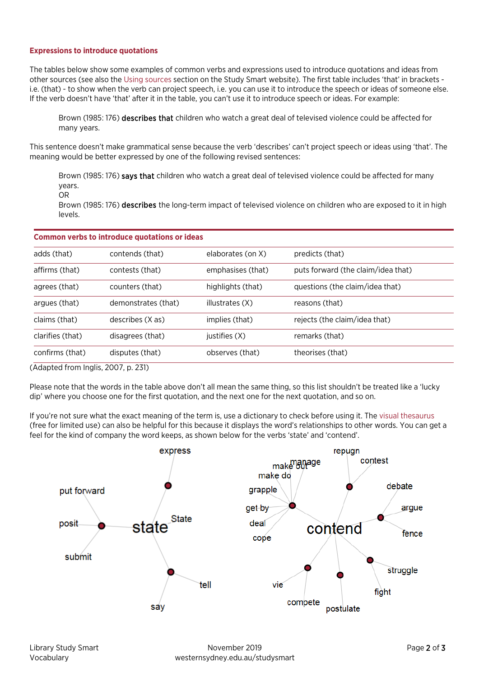## **Expressions to introduce quotations**

The tables below show some examples of common verbs and expressions used to introduce quotations and ideas from other sources (see also the [Using sources](http://westernsydney.edu.au/studysmart/home/assignment_help/writing) section on the Study Smart website). The first table includes 'that' in brackets i.e. (that) - to show when the verb can project speech, i.e. you can use it to introduce the speech or ideas of someone else. If the verb doesn't have 'that' after it in the table, you can't use it to introduce speech or ideas. For example:

Brown (1985: 176) describes that children who watch a great deal of televised violence could be affected for many years.

This sentence doesn't make grammatical sense because the verb 'describes' can't project speech or ideas using 'that'. The meaning would be better expressed by one of the following revised sentences:

Brown (1985: 176) says that children who watch a great deal of televised violence could be affected for many years.

OR

Brown (1985: 176) describes the long-term impact of televised violence on children who are exposed to it in high levels.

| <b>Common verbs to introduce quotations or ideas</b> |                     |                   |                                    |
|------------------------------------------------------|---------------------|-------------------|------------------------------------|
| adds (that)                                          | contends (that)     | elaborates (on X) | predicts (that)                    |
| affirms (that)                                       | contests (that)     | emphasises (that) | puts forward (the claim/idea that) |
| agrees (that)                                        | counters (that)     | highlights (that) | questions (the claim/idea that)    |
| argues (that)                                        | demonstrates (that) | illustrates (X)   | reasons (that)                     |
| claims (that)                                        | describes (X as)    | implies (that)    | rejects (the claim/idea that)      |
| clarifies (that)                                     | disagrees (that)    | justifies (X)     | remarks (that)                     |
| confirms (that)                                      | disputes (that)     | observes (that)   | theorises (that)                   |

(Adapted from Inglis, 2007, p. 231)

Please note that the words in the table above don't all mean the same thing, so this list shouldn't be treated like a 'lucky dip' where you choose one for the first quotation, and the next one for the next quotation, and so on.

If you're not sure what the exact meaning of the term is, use a dictionary to check before using it. Th[e visual thesaurus](https://www.visualthesaurus.com/) (free for limited use) can also be helpful for this because it displays the word's relationships to other words. You can get a feel for the kind of company the word keeps, as shown below for the verbs 'state' and 'contend'.